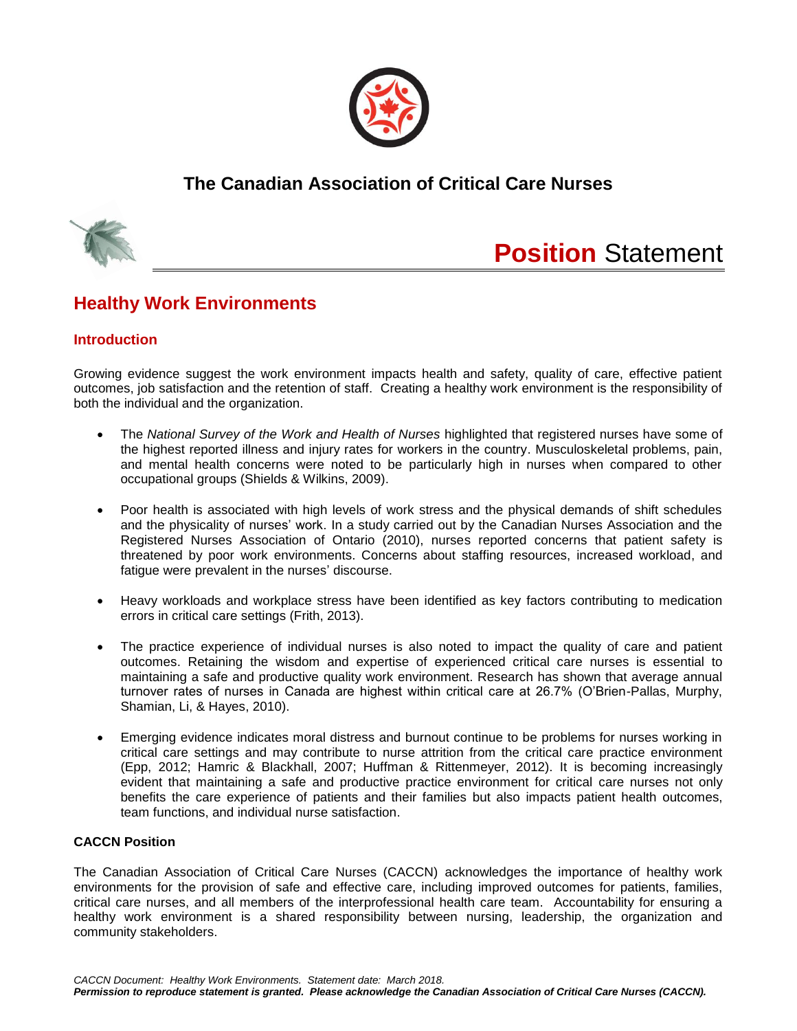

## **The Canadian Association of Critical Care Nurses**



# **Position** Statement

## **Healthy Work Environments**

### **Introduction**

Growing evidence suggest the work environment impacts health and safety, quality of care, effective patient outcomes, job satisfaction and the retention of staff. Creating a healthy work environment is the responsibility of both the individual and the organization.

- The *National Survey of the Work and Health of Nurses* highlighted that registered nurses have some of the highest reported illness and injury rates for workers in the country. Musculoskeletal problems, pain, and mental health concerns were noted to be particularly high in nurses when compared to other occupational groups (Shields & Wilkins, 2009).
- Poor health is associated with high levels of work stress and the physical demands of shift schedules and the physicality of nurses' work. In a study carried out by the Canadian Nurses Association and the Registered Nurses Association of Ontario (2010), nurses reported concerns that patient safety is threatened by poor work environments. Concerns about staffing resources, increased workload, and fatigue were prevalent in the nurses' discourse.
- Heavy workloads and workplace stress have been identified as key factors contributing to medication errors in critical care settings (Frith, 2013).
- The practice experience of individual nurses is also noted to impact the quality of care and patient outcomes. Retaining the wisdom and expertise of experienced critical care nurses is essential to maintaining a safe and productive quality work environment. Research has shown that average annual turnover rates of nurses in Canada are highest within critical care at 26.7% (O'Brien-Pallas, Murphy, Shamian, Li, & Hayes, 2010).
- Emerging evidence indicates moral distress and burnout continue to be problems for nurses working in critical care settings and may contribute to nurse attrition from the critical care practice environment (Epp, 2012; Hamric & Blackhall, 2007; Huffman & Rittenmeyer, 2012). It is becoming increasingly evident that maintaining a safe and productive practice environment for critical care nurses not only benefits the care experience of patients and their families but also impacts patient health outcomes, team functions, and individual nurse satisfaction.

#### **CACCN Position**

The Canadian Association of Critical Care Nurses (CACCN) acknowledges the importance of healthy work environments for the provision of safe and effective care, including improved outcomes for patients, families, critical care nurses, and all members of the interprofessional health care team. Accountability for ensuring a healthy work environment is a shared responsibility between nursing, leadership, the organization and community stakeholders.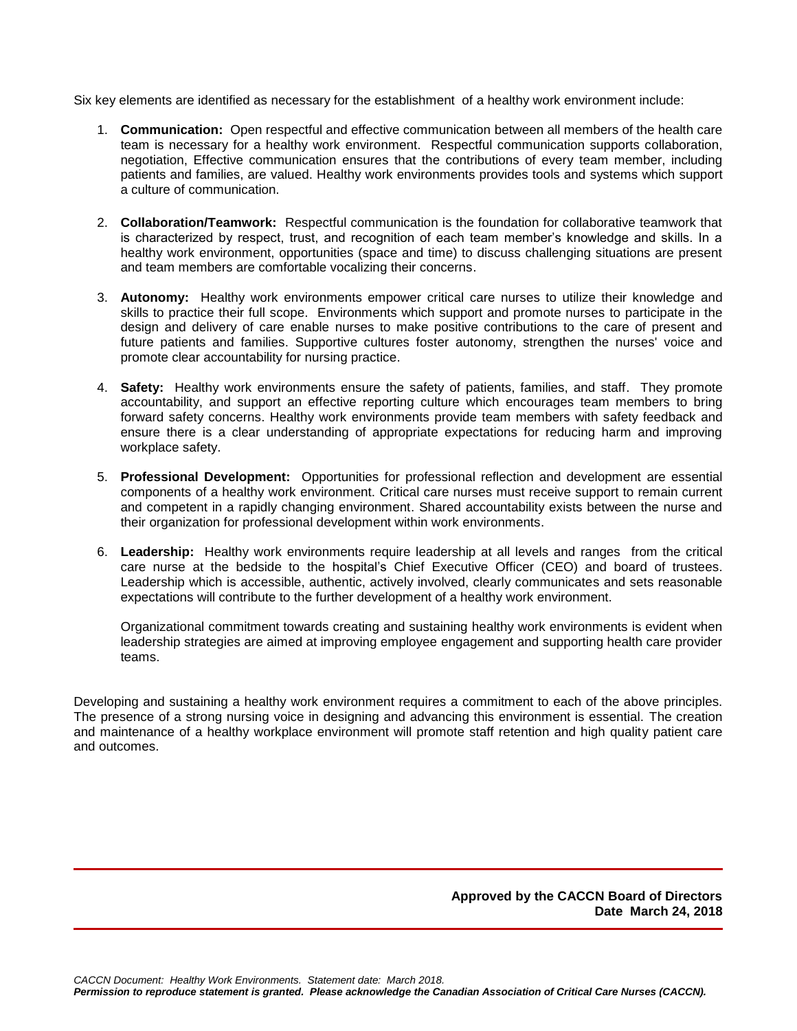Six key elements are identified as necessary for the establishment of a healthy work environment include:

- 1. **Communication:** Open respectful and effective communication between all members of the health care team is necessary for a healthy work environment. Respectful communication supports collaboration, negotiation, Effective communication ensures that the contributions of every team member, including patients and families, are valued. Healthy work environments provides tools and systems which support a culture of communication.
- 2. **Collaboration/Teamwork:** Respectful communication is the foundation for collaborative teamwork that is characterized by respect, trust, and recognition of each team member's knowledge and skills. In a healthy work environment, opportunities (space and time) to discuss challenging situations are present and team members are comfortable vocalizing their concerns.
- 3. **Autonomy:** Healthy work environments empower critical care nurses to utilize their knowledge and skills to practice their full scope. Environments which support and promote nurses to participate in the design and delivery of care enable nurses to make positive contributions to the care of present and future patients and families. Supportive cultures foster autonomy, strengthen the nurses' voice and promote clear accountability for nursing practice.
- 4. **Safety:** Healthy work environments ensure the safety of patients, families, and staff. They promote accountability, and support an effective reporting culture which encourages team members to bring forward safety concerns. Healthy work environments provide team members with safety feedback and ensure there is a clear understanding of appropriate expectations for reducing harm and improving workplace safety.
- 5. **Professional Development:** Opportunities for professional reflection and development are essential components of a healthy work environment. Critical care nurses must receive support to remain current and competent in a rapidly changing environment. Shared accountability exists between the nurse and their organization for professional development within work environments.
- 6. **Leadership:** Healthy work environments require leadership at all levels and ranges from the critical care nurse at the bedside to the hospital's Chief Executive Officer (CEO) and board of trustees. Leadership which is accessible, authentic, actively involved, clearly communicates and sets reasonable expectations will contribute to the further development of a healthy work environment.

Organizational commitment towards creating and sustaining healthy work environments is evident when leadership strategies are aimed at improving employee engagement and supporting health care provider teams.

Developing and sustaining a healthy work environment requires a commitment to each of the above principles. The presence of a strong nursing voice in designing and advancing this environment is essential. The creation and maintenance of a healthy workplace environment will promote staff retention and high quality patient care and outcomes.

> **Approved by the CACCN Board of Directors Date March 24, 2018**